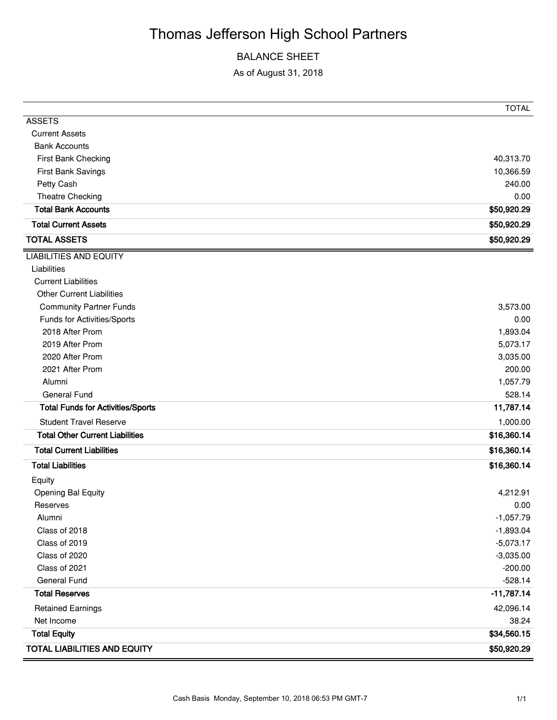# Thomas Jefferson High School Partners

## BALANCE SHEET

As of August 31, 2018

|                                          | TOTAL        |
|------------------------------------------|--------------|
| <b>ASSETS</b>                            |              |
| <b>Current Assets</b>                    |              |
| <b>Bank Accounts</b>                     |              |
| First Bank Checking                      | 40,313.70    |
| First Bank Savings                       | 10,366.59    |
| Petty Cash                               | 240.00       |
| Theatre Checking                         | 0.00         |
| <b>Total Bank Accounts</b>               | \$50,920.29  |
| <b>Total Current Assets</b>              | \$50,920.29  |
| <b>TOTAL ASSETS</b>                      | \$50,920.29  |
| <b>LIABILITIES AND EQUITY</b>            |              |
| Liabilities                              |              |
| <b>Current Liabilities</b>               |              |
| <b>Other Current Liabilities</b>         |              |
| <b>Community Partner Funds</b>           | 3,573.00     |
| Funds for Activities/Sports              | 0.00         |
| 2018 After Prom                          | 1,893.04     |
| 2019 After Prom                          | 5,073.17     |
| 2020 After Prom                          | 3,035.00     |
| 2021 After Prom                          | 200.00       |
| Alumni                                   | 1,057.79     |
| <b>General Fund</b>                      | 528.14       |
| <b>Total Funds for Activities/Sports</b> | 11,787.14    |
| <b>Student Travel Reserve</b>            | 1,000.00     |
| <b>Total Other Current Liabilities</b>   | \$16,360.14  |
| <b>Total Current Liabilities</b>         | \$16,360.14  |
| <b>Total Liabilities</b>                 | \$16,360.14  |
| Equity                                   |              |
| <b>Opening Bal Equity</b>                | 4,212.91     |
| Reserves                                 | 0.00         |
| Alumni                                   | $-1,057.79$  |
| Class of 2018                            | $-1,893.04$  |
| Class of 2019                            | $-5,073.17$  |
| Class of 2020                            | $-3,035.00$  |
| Class of 2021                            | $-200.00$    |
| <b>General Fund</b>                      | $-528.14$    |
| <b>Total Reserves</b>                    | $-11,787.14$ |
| <b>Retained Earnings</b>                 | 42,096.14    |
| Net Income                               | 38.24        |
| <b>Total Equity</b>                      | \$34,560.15  |
| <b>TOTAL LIABILITIES AND EQUITY</b>      | \$50,920.29  |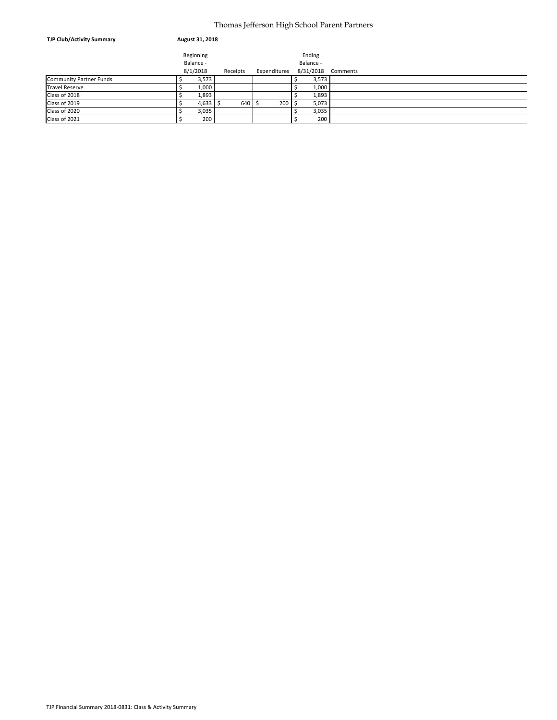#### Thomas Jefferson High School Parent Partners

| <b>TJP Club/Activity Summary</b> | August 31, 2018 |           |          |                 |  |           |          |  |  |
|----------------------------------|-----------------|-----------|----------|-----------------|--|-----------|----------|--|--|
|                                  |                 | Beginning |          |                 |  | Ending    |          |  |  |
|                                  | Balance -       |           |          |                 |  | Balance - |          |  |  |
|                                  |                 | 8/1/2018  | Receipts | Expenditures    |  | 8/31/2018 | Comments |  |  |
| <b>Community Partner Funds</b>   |                 | 3,573     |          |                 |  | 3,573     |          |  |  |
| <b>Travel Reserve</b>            |                 | 1,000     |          |                 |  | 1,000     |          |  |  |
| Class of 2018                    |                 | 1,893     |          |                 |  | 1,893     |          |  |  |
| Class of 2019                    |                 | 4,633     | 640 \$   | $200$ $\mid$ \$ |  | 5,073     |          |  |  |
| Class of 2020                    |                 | 3,035     |          |                 |  | 3,035     |          |  |  |
| Class of 2021                    |                 | 200       |          |                 |  | 200       |          |  |  |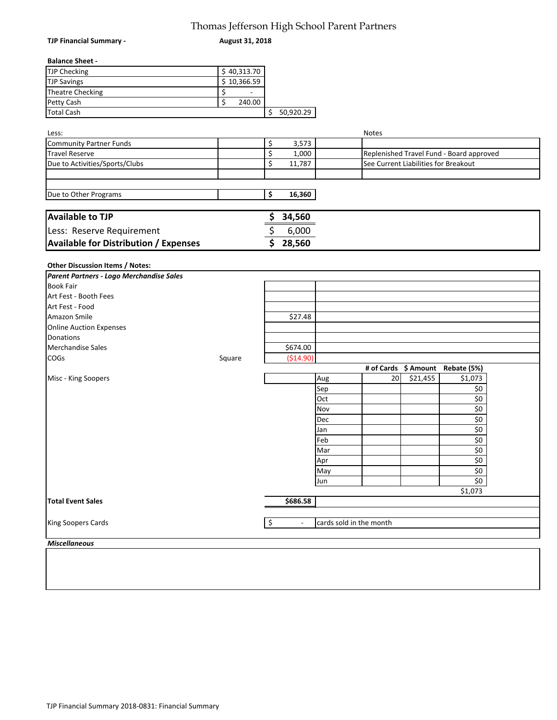## Thomas Jefferson High School Parent Partners

| <b>TJP Financial Summary -</b>                          | 1110111113 Jenerson 1 ugh oenoor 1 taent 1 tanters<br>August 31, 2018 |                          |                          |                         |              |                                      |                                          |  |
|---------------------------------------------------------|-----------------------------------------------------------------------|--------------------------|--------------------------|-------------------------|--------------|--------------------------------------|------------------------------------------|--|
| <b>Balance Sheet -</b>                                  |                                                                       |                          |                          |                         |              |                                      |                                          |  |
| <b>TJP Checking</b>                                     | \$40,313.70                                                           |                          |                          |                         |              |                                      |                                          |  |
| <b>TJP Savings</b>                                      | $\overline{$}$ 10,366.59                                              |                          |                          |                         |              |                                      |                                          |  |
| <b>Theatre Checking</b>                                 | \$<br>$\overline{\phantom{a}}$                                        |                          |                          |                         |              |                                      |                                          |  |
| Petty Cash                                              | \$<br>240.00                                                          |                          |                          |                         |              |                                      |                                          |  |
| <b>Total Cash</b>                                       |                                                                       |                          | \$50,920.29              |                         |              |                                      |                                          |  |
|                                                         |                                                                       |                          |                          |                         |              |                                      |                                          |  |
| Less:                                                   |                                                                       |                          |                          |                         | <b>Notes</b> |                                      |                                          |  |
| <b>Community Partner Funds</b><br><b>Travel Reserve</b> |                                                                       | \$<br>\$                 | 3,573                    |                         |              |                                      |                                          |  |
|                                                         |                                                                       | \$                       | 1,000                    |                         |              |                                      | Replenished Travel Fund - Board approved |  |
| Due to Activities/Sports/Clubs                          |                                                                       |                          | 11,787                   |                         |              | See Current Liabilities for Breakout |                                          |  |
| Due to Other Programs                                   |                                                                       | \$                       | 16,360                   |                         |              |                                      |                                          |  |
| <b>Available to TJP</b>                                 |                                                                       | \$                       | 34,560                   |                         |              |                                      |                                          |  |
| Less: Reserve Requirement                               |                                                                       | \$                       | 6,000                    |                         |              |                                      |                                          |  |
| <b>Available for Distribution / Expenses</b>            |                                                                       | \$                       | 28,560                   |                         |              |                                      |                                          |  |
|                                                         |                                                                       |                          |                          |                         |              |                                      |                                          |  |
| Other Discussion Items / Notes:                         |                                                                       |                          |                          |                         |              |                                      |                                          |  |
| Parent Partners - Logo Merchandise Sales                |                                                                       |                          |                          |                         |              |                                      |                                          |  |
| <b>Book Fair</b>                                        |                                                                       |                          |                          |                         |              |                                      |                                          |  |
| Art Fest - Booth Fees                                   |                                                                       |                          |                          |                         |              |                                      |                                          |  |
| Art Fest - Food                                         |                                                                       |                          |                          |                         |              |                                      |                                          |  |
| Amazon Smile                                            |                                                                       |                          | \$27.48                  |                         |              |                                      |                                          |  |
| <b>Online Auction Expenses</b>                          |                                                                       |                          |                          |                         |              |                                      |                                          |  |
| Donations                                               |                                                                       |                          |                          |                         |              |                                      |                                          |  |
| Merchandise Sales                                       |                                                                       |                          | \$674.00                 |                         |              |                                      |                                          |  |
| COGs                                                    | Square                                                                |                          | (\$14.90)                |                         |              |                                      |                                          |  |
|                                                         |                                                                       |                          |                          |                         |              |                                      | # of Cards \$ Amount Rebate (5%)         |  |
| Misc - King Soopers                                     |                                                                       |                          |                          | Aug                     | 20           | \$21,455                             | \$1,073                                  |  |
|                                                         |                                                                       |                          |                          | Sep                     |              |                                      | \$0                                      |  |
|                                                         |                                                                       |                          |                          | Oct                     |              |                                      | \$0                                      |  |
|                                                         |                                                                       |                          |                          | Nov                     |              |                                      | \$0                                      |  |
|                                                         |                                                                       |                          |                          | Dec                     |              |                                      | \$0                                      |  |
|                                                         |                                                                       |                          |                          | Jan                     |              |                                      | \$0                                      |  |
|                                                         |                                                                       |                          |                          | Feb                     |              |                                      | \$0                                      |  |
|                                                         |                                                                       |                          |                          | Mar                     |              |                                      | \$0                                      |  |
|                                                         |                                                                       |                          |                          | Apr                     |              |                                      | \$0<br>\$0                               |  |
|                                                         |                                                                       |                          |                          | May                     |              |                                      | \$0                                      |  |
|                                                         |                                                                       |                          |                          | Jun                     |              |                                      | \$1,073                                  |  |
| <b>Total Event Sales</b>                                |                                                                       |                          | \$686.58                 |                         |              |                                      |                                          |  |
|                                                         |                                                                       |                          |                          |                         |              |                                      |                                          |  |
| King Soopers Cards                                      |                                                                       | $\overline{\mathcal{S}}$ | $\overline{\phantom{a}}$ | cards sold in the month |              |                                      |                                          |  |

*Miscellaneous*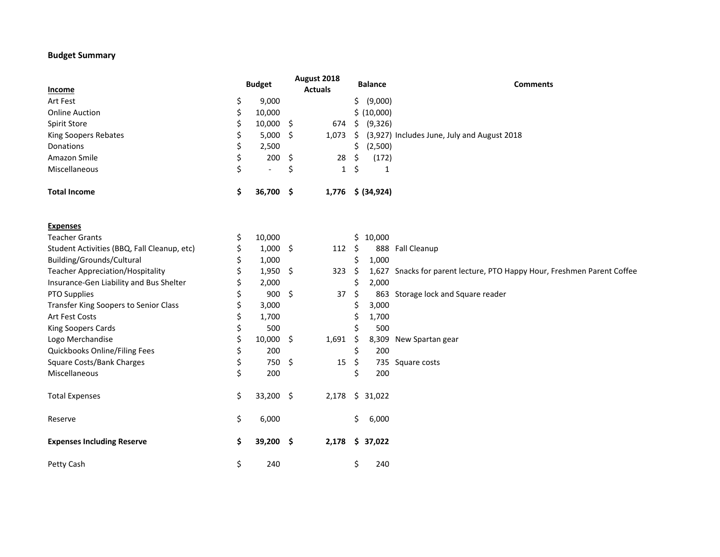### **Budget Summary**

| Income                                      | <b>Budget</b>                  |     | August 2018<br><b>Actuals</b> |     | <b>Balance</b>    | <b>Comments</b>                                                         |
|---------------------------------------------|--------------------------------|-----|-------------------------------|-----|-------------------|-------------------------------------------------------------------------|
| Art Fest                                    | \$<br>9,000                    |     |                               | Ś.  | (9,000)           |                                                                         |
| <b>Online Auction</b>                       | \$<br>10,000                   |     |                               |     | \$ (10,000)       |                                                                         |
| <b>Spirit Store</b>                         | \$<br>$10,000$ \$              |     | 674                           | \$. | (9, 326)          |                                                                         |
| King Soopers Rebates                        | \$<br>$5,000$ \$               |     | 1,073                         | \$  |                   | (3,927) Includes June, July and August 2018                             |
| <b>Donations</b>                            | \$<br>2,500                    |     |                               | \$  | (2,500)           |                                                                         |
| Amazon Smile                                | \$<br>200                      | -\$ | 28                            | \$  | (172)             |                                                                         |
| Miscellaneous                               | \$<br>$\overline{\phantom{a}}$ | \$  | $\mathbf{1}$                  | \$  | 1                 |                                                                         |
| <b>Total Income</b>                         | \$<br>36,700 \$                |     |                               |     | 1,776 \$ (34,924) |                                                                         |
| <b>Expenses</b>                             |                                |     |                               |     |                   |                                                                         |
| <b>Teacher Grants</b>                       | \$<br>10,000                   |     |                               | \$. | 10,000            |                                                                         |
| Student Activities (BBQ, Fall Cleanup, etc) | \$<br>$1,000$ \$               |     | $112 \div$                    |     |                   | 888 Fall Cleanup                                                        |
| Building/Grounds/Cultural                   | \$<br>1,000                    |     |                               | \$  | 1,000             |                                                                         |
| <b>Teacher Appreciation/Hospitality</b>     | \$<br>$1,950$ \$               |     | 323                           | -\$ |                   | 1,627 Snacks for parent lecture, PTO Happy Hour, Freshmen Parent Coffee |
| Insurance-Gen Liability and Bus Shelter     | \$<br>2,000                    |     |                               |     | 2,000             |                                                                         |
| PTO Supplies                                | \$<br>$900 \quad $$            |     | 37                            | \$  |                   | 863 Storage lock and Square reader                                      |
| Transfer King Soopers to Senior Class       | \$<br>3,000                    |     |                               | \$  | 3,000             |                                                                         |
| Art Fest Costs                              | \$<br>1,700                    |     |                               | \$  | 1,700             |                                                                         |
| King Soopers Cards                          | \$<br>500                      |     |                               | \$  | 500               |                                                                         |
| Logo Merchandise                            | \$<br>$10,000$ \$              |     | 1,691                         | \$  |                   | 8,309 New Spartan gear                                                  |
| Quickbooks Online/Filing Fees               | \$<br>200                      |     |                               | \$  | 200               |                                                                         |
| <b>Square Costs/Bank Charges</b>            | \$<br>750 \$                   |     | 15                            | \$  |                   | 735 Square costs                                                        |
| Miscellaneous                               | \$<br>200                      |     |                               | \$  | 200               |                                                                         |
| <b>Total Expenses</b>                       | \$<br>33,200 \$                |     | 2,178                         | \$  | 31,022            |                                                                         |
| Reserve                                     | \$<br>6,000                    |     |                               | \$. | 6,000             |                                                                         |
| <b>Expenses Including Reserve</b>           | \$<br>39,200 \$                |     | 2,178                         |     | \$37,022          |                                                                         |
| Petty Cash                                  | \$<br>240                      |     |                               | \$  | 240               |                                                                         |